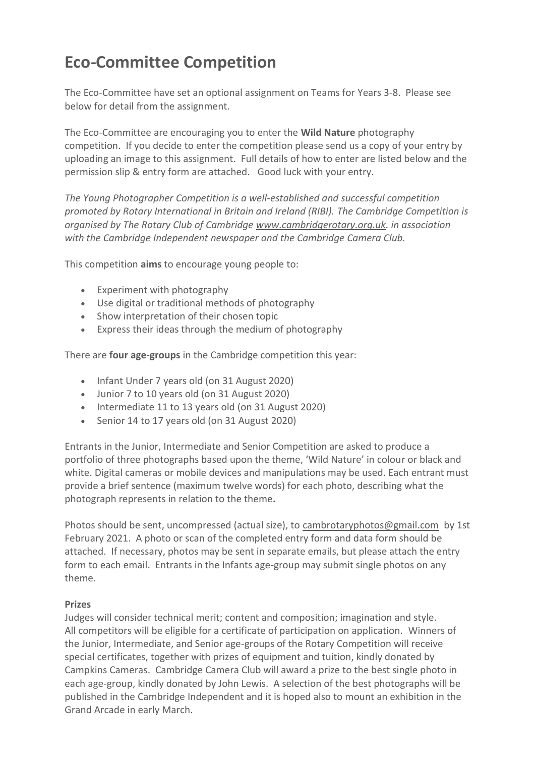# **Eco-Committee Competition**

The Eco-Committee have set an optional assignment on Teams for Years 3-8. Please see below for detail from the assignment.

The Eco-Committee are encouraging you to enter the **Wild Nature** photography competition. If you decide to enter the competition please send us a copy of your entry by uploading an image to this assignment. Full details of how to enter are listed below and the permission slip & entry form are attached. Good luck with your entry.

*The Young Photographer Competition is a well-established and successful competition promoted by Rotary International in Britain and Ireland (RIBI). The Cambridge Competition is organised by The Rotary Club of Cambridge [www.cambridgerotary.org.uk.](http://www.cambridgerotary.org.uk/) in association with the Cambridge Independent newspaper and the Cambridge Camera Club.*

This competition **aims** to encourage young people to:

- Experiment with photography
- Use digital or traditional methods of photography
- Show interpretation of their chosen topic
- Express their ideas through the medium of photography

There are **four age-groups** in the Cambridge competition this year:

- Infant Under 7 years old (on 31 August 2020)
- Junior 7 to 10 years old (on 31 August 2020)
- Intermediate 11 to 13 years old (on 31 August 2020)
- Senior 14 to 17 years old (on 31 August 2020)

Entrants in the Junior, Intermediate and Senior Competition are asked to produce a portfolio of three photographs based upon the theme, 'Wild Nature' in colour or black and white. Digital cameras or mobile devices and manipulations may be used. Each entrant must provide a brief sentence (maximum twelve words) for each photo, describing what the photograph represents in relation to the theme**.**

Photos should be sent, uncompressed (actual size), to [cambrotaryphotos@gmail.com](mailto:cambrotaryphotos@gmail.com) by 1st February 2021. A photo or scan of the completed entry form and data form should be attached. If necessary, photos may be sent in separate emails, but please attach the entry form to each email. Entrants in the Infants age-group may submit single photos on any theme.

# **Prizes**

Judges will consider technical merit; content and composition; imagination and style. All competitors will be eligible for a certificate of participation on application. Winners of the Junior, Intermediate, and Senior age-groups of the Rotary Competition will receive special certificates, together with prizes of equipment and tuition, kindly donated by Campkins Cameras. Cambridge Camera Club will award a prize to the best single photo in each age-group, kindly donated by John Lewis. A selection of the best photographs will be published in the Cambridge Independent and it is hoped also to mount an exhibition in the Grand Arcade in early March.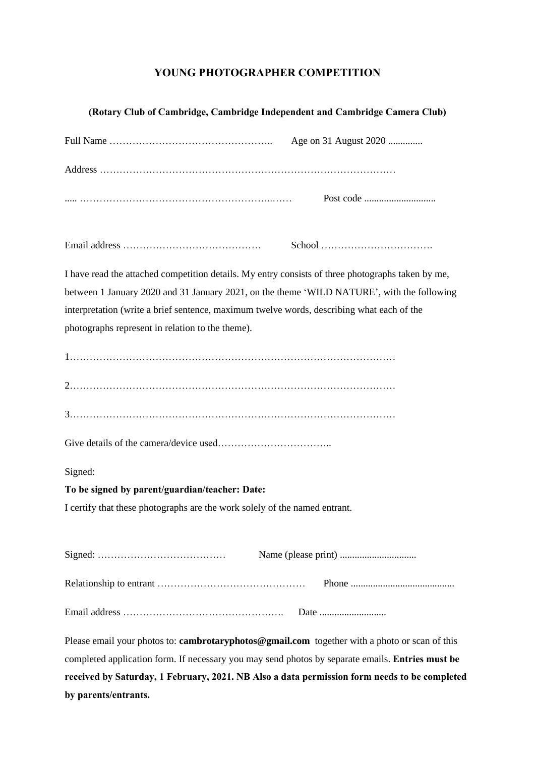# **YOUNG PHOTOGRAPHER COMPETITION**

# **(Rotary Club of Cambridge, Cambridge Independent and Cambridge Camera Club)**

| Age on 31 August 2020                                                                             |  |  |  |  |
|---------------------------------------------------------------------------------------------------|--|--|--|--|
|                                                                                                   |  |  |  |  |
|                                                                                                   |  |  |  |  |
|                                                                                                   |  |  |  |  |
| I have read the attached competition details. My entry consists of three photographs taken by me, |  |  |  |  |
| between 1 January 2020 and 31 January 2021, on the theme 'WILD NATURE', with the following        |  |  |  |  |
| interpretation (write a brief sentence, maximum twelve words, describing what each of the         |  |  |  |  |
| photographs represent in relation to the theme).                                                  |  |  |  |  |
|                                                                                                   |  |  |  |  |
|                                                                                                   |  |  |  |  |
|                                                                                                   |  |  |  |  |
|                                                                                                   |  |  |  |  |
| Signed:                                                                                           |  |  |  |  |
| To be signed by parent/guardian/teacher: Date:                                                    |  |  |  |  |
| I certify that these photographs are the work solely of the named entrant.                        |  |  |  |  |
|                                                                                                   |  |  |  |  |
|                                                                                                   |  |  |  |  |
|                                                                                                   |  |  |  |  |
|                                                                                                   |  |  |  |  |
| Please email your photos to: cambrotaryphotos@gmail.com together with a photo or scan of this     |  |  |  |  |

completed application form. If necessary you may send photos by separate emails. **Entries must be received by Saturday, 1 February, 2021. NB Also a data permission form needs to be completed by parents/entrants.**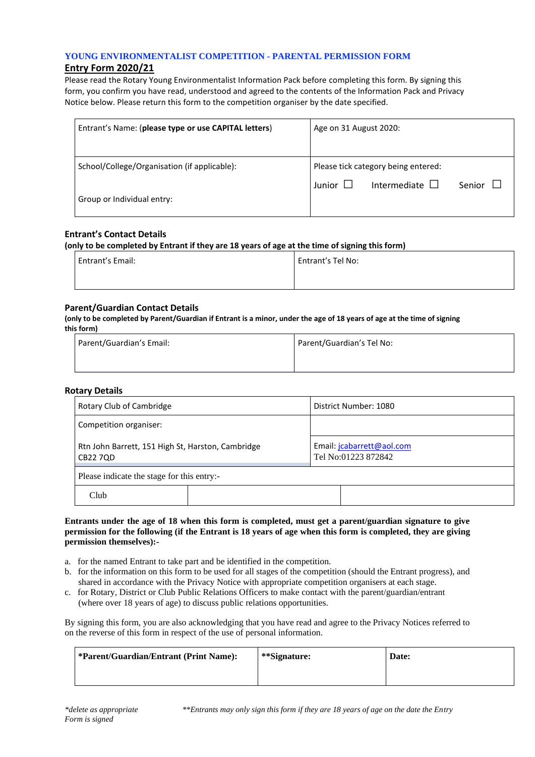## **YOUNG ENVIRONMENTALIST COMPETITION - PARENTAL PERMISSION FORM**

# **Entry Form 2020/21**

Please read the Rotary Young Environmentalist Information Pack before completing this form. By signing this form, you confirm you have read, understood and agreed to the contents of the Information Pack and Privacy Notice below. Please return this form to the competition organiser by the date specified.

| Entrant's Name: (please type or use CAPITAL letters) | Age on 31 August 2020:                                                                |  |
|------------------------------------------------------|---------------------------------------------------------------------------------------|--|
| School/College/Organisation (if applicable):         | Please tick category being entered:<br>Intermediate $\Box$<br>Junior $\Box$<br>Senior |  |
| Group or Individual entry:                           |                                                                                       |  |

## **Entrant's Contact Details**

**(only to be completed by Entrant if they are 18 years of age at the time of signing this form)**

| Entrant's Email: | Entrant's Tel No: |
|------------------|-------------------|
|                  |                   |

## **Parent/Guardian Contact Details**

**(only to be completed by Parent/Guardian if Entrant is a minor, under the age of 18 years of age at the time of signing this form)**

| Parent/Guardian's Email: | Parent/Guardian's Tel No: |
|--------------------------|---------------------------|
|                          |                           |

#### **Rotary Details**

| Rotary Club of Cambridge                                      | District Number: 1080                            |  |  |  |  |
|---------------------------------------------------------------|--------------------------------------------------|--|--|--|--|
| Competition organiser:                                        |                                                  |  |  |  |  |
| Rtn John Barrett, 151 High St, Harston, Cambridge<br>CB22 7QD | Email: jcabarrett@aol.com<br>Tel No:01223 872842 |  |  |  |  |
| Please indicate the stage for this entry:-                    |                                                  |  |  |  |  |
| Club                                                          |                                                  |  |  |  |  |

#### **Entrants under the age of 18 when this form is completed, must get a parent/guardian signature to give permission for the following (if the Entrant is 18 years of age when this form is completed, they are giving permission themselves):-**

- a. for the named Entrant to take part and be identified in the competition.
- b. for the information on this form to be used for all stages of the competition (should the Entrant progress), and shared in accordance with the Privacy Notice with appropriate competition organisers at each stage.
- c. for Rotary, District or Club Public Relations Officers to make contact with the parent/guardian/entrant (where over 18 years of age) to discuss public relations opportunities.

By signing this form, you are also acknowledging that you have read and agree to the Privacy Notices referred to on the reverse of this form in respect of the use of personal information.

| *Parent/Guardian/Entrant (Print Name): | **Signature: | Date: |
|----------------------------------------|--------------|-------|
|                                        |              |       |